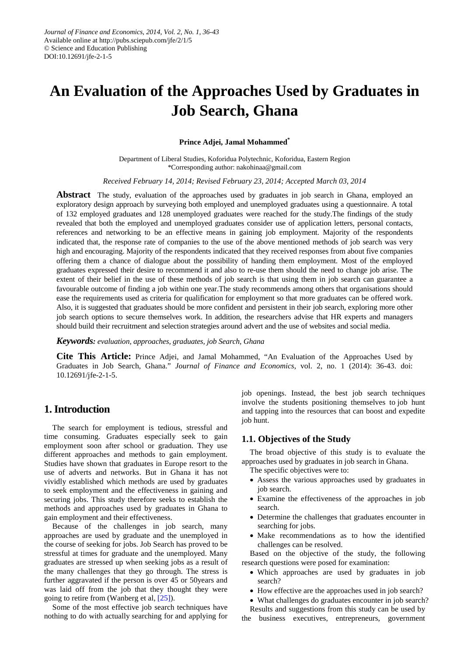# **An Evaluation of the Approaches Used by Graduates in Job Search, Ghana**

#### **Prince Adjei, Jamal Mohammed\***

Department of Liberal Studies, Koforidua Polytechnic, Koforidua, Eastern Region \*Corresponding author: nakohinaa@gmail.com

*Received February 14, 2014; Revised February 23, 2014; Accepted March 03, 2014*

**Abstract** The study, evaluation of the approaches used by graduates in job search in Ghana, employed an exploratory design approach by surveying both employed and unemployed graduates using a questionnaire. A total of 132 employed graduates and 128 unemployed graduates were reached for the study.The findings of the study revealed that both the employed and unemployed graduates consider use of application letters, personal contacts, references and networking to be an effective means in gaining job employment. Majority of the respondents indicated that, the response rate of companies to the use of the above mentioned methods of job search was very high and encouraging. Majority of the respondents indicated that they received responses from about five companies offering them a chance of dialogue about the possibility of handing them employment. Most of the employed graduates expressed their desire to recommend it and also to re-use them should the need to change job arise. The extent of their belief in the use of these methods of job search is that using them in job search can guarantee a favourable outcome of finding a job within one year.The study recommends among others that organisations should ease the requirements used as criteria for qualification for employment so that more graduates can be offered work. Also, it is suggested that graduates should be more confident and persistent in their job search, exploring more other job search options to secure themselves work. In addition, the researchers advise that HR experts and managers should build their recruitment and selection strategies around advert and the use of websites and social media.

*Keywords: evaluation, approaches, graduates, job Search, Ghana*

**Cite This Article:** Prince Adjei, and Jamal Mohammed, "An Evaluation of the Approaches Used by Graduates in Job Search, Ghana." *Journal of Finance and Economics*, vol. 2, no. 1 (2014): 36-43. doi: 10.12691/jfe-2-1-5.

# **1. Introduction**

The search for employment is tedious, stressful and time consuming. Graduates especially seek to gain employment soon after school or graduation. They use different approaches and methods to gain employment. Studies have shown that graduates in Europe resort to the use of adverts and networks. But in Ghana it has not vividly established which methods are used by graduates to seek employment and the effectiveness in gaining and securing jobs. This study therefore seeks to establish the methods and approaches used by graduates in Ghana to gain employment and their effectiveness.

Because of the challenges in job search, many approaches are used by graduate and the unemployed in the course of seeking for jobs. Job Search has proved to be stressful at times for graduate and the unemployed. Many graduates are stressed up when seeking jobs as a result of the many challenges that they go through. The stress is further aggravated if the person is over 45 or 50years and was laid off from the job that they thought they were going to retire from (Wanberg et al, [\[25\]\)](#page-7-0).

Some of the most effective job search techniques have nothing to do with actually searching for and applying for job openings. Instead, the best job search techniques involve the students positioning themselves to job hunt and tapping into the resources that can boost and expedite job hunt.

### **1.1. Objectives of the Study**

The broad objective of this study is to evaluate the approaches used by graduates in job search in Ghana. The specific objectives were to:

- Assess the various approaches used by graduates in job search.
- Examine the effectiveness of the approaches in job search.
- Determine the challenges that graduates encounter in searching for jobs.
- Make recommendations as to how the identified challenges can be resolved.

Based on the objective of the study, the following research questions were posed for examination:

- Which approaches are used by graduates in job search?
- How effective are the approaches used in job search?

• What challenges do graduates encounter in job search? Results and suggestions from this study can be used by

the business executives, entrepreneurs, government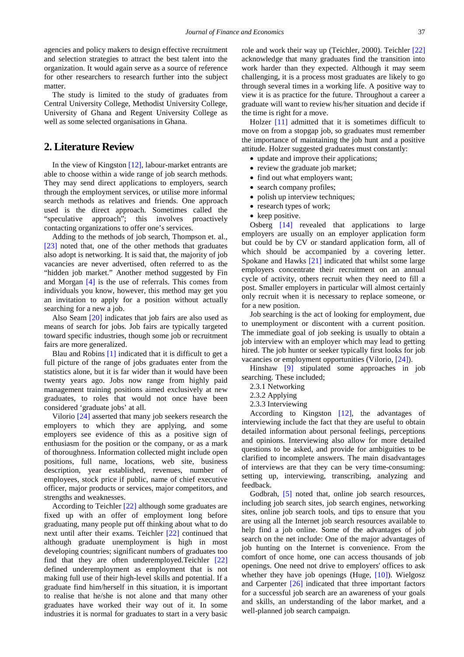agencies and policy makers to design effective recruitment and selection strategies to attract the best talent into the organization. It would again serve as a source of reference for other researchers to research further into the subject matter.

The study is limited to the study of graduates from Central University College, Methodist University College, University of Ghana and Regent University College as well as some selected organisations in Ghana.

## **2. Literature Review**

In the view of Kingston [\[12\],](#page-7-1) labour-market entrants are able to choose within a wide range of job search methods. They may send direct applications to employers, search through the employment services, or utilise more informal search methods as relatives and friends. One approach used is the direct approach. Sometimes called the "speculative approach"; this involves proactively contacting organizations to offer one's services.

Adding to the methods of job search, Thompson et. al., [\[23\]](#page-7-2) noted that, one of the other methods that graduates also adopt is networking. It is said that, the majority of job vacancies are never advertised, often referred to as the "hidden job market." Another method suggested by Fin and Morgan [\[4\]](#page-7-3) is the use of referrals. This comes from individuals you know, however, this method may get you an invitation to apply for a position without actually searching for a new a job.

Also Seam [\[20\]](#page-7-4) indicates that job fairs are also used as means of search for jobs. Job fairs are typically targeted toward specific industries, though some job or recruitment fairs are more generalized.

Blau and Robins [\[1\]](#page-7-5) indicated that it is difficult to get a full picture of the range of jobs graduates enter from the statistics alone, but it is far wider than it would have been twenty years ago. Jobs now range from highly paid management training positions aimed exclusively at new graduates, to roles that would not once have been considered 'graduate jobs' at all.

Vilorio [\[24\]](#page-7-6) asserted that many job seekers research the employers to which they are applying, and some employers see evidence of this as a positive sign of enthusiasm for the position or the company, or as a mark of thoroughness. Information collected might include open positions, full name, locations, web site, business description, year established, revenues, number of employees, stock price if public, name of chief executive officer, major products or services, major competitors, and strengths and weaknesses.

According to Teichler [\[22\]](#page-7-7) although some graduates are fixed up with an offer of employment long before graduating, many people put off thinking about what to do next until after their exams. Teichler [\[22\]](#page-7-7) continued that although graduate unemployment is high in most developing countries; significant numbers of graduates too find that they are often underemployed.Teichler [\[22\]](#page-7-7) defined underemployment as employment that is not making full use of their high-level skills and potential. If a graduate find him/herself in this situation, it is important to realise that he/she is not alone and that many other graduates have worked their way out of it. In some industries it is normal for graduates to start in a very basic role and work their way up (Teichler, 2000). Teichler [\[22\]](#page-7-7) acknowledge that many graduates find the transition into work harder than they expected. Although it may seem challenging, it is a process most graduates are likely to go through several times in a working life. A positive way to view it is as practice for the future. Throughout a career a graduate will want to review his/her situation and decide if the time is right for a move.

Holzer [\[11\]](#page-7-8) admitted that it is sometimes difficult to move on from a stopgap job, so graduates must remember the importance of maintaining the job hunt and a positive attitude. Holzer suggested graduates must constantly:

- update and improve their applications;
- review the graduate job market;
- find out what employers want;
- search company profiles;
- polish up interview techniques;
- research types of work;
- keep positive.

Osberg [\[14\]](#page-7-9) revealed that applications to large employers are usually on an employer application form but could be by CV or standard application form, all of which should be accompanied by a covering letter. Spokane and Hawks [\[21\]](#page-7-10) indicated that whilst some large employers concentrate their recruitment on an annual cycle of activity, others recruit when they need to fill a post. Smaller employers in particular will almost certainly only recruit when it is necessary to replace someone, or for a new position.

Job searching is the act of looking for employment, due to unemployment or discontent with a current position. The immediate goal of job seeking is usually to obtain a job interview with an employer which may lead to getting hired. The job hunter or seeker typically first looks for job vacancies or employment opportunities (Vilorio, [\[24\]\)](#page-7-6).

Hinshaw [\[9\]](#page-7-11) stipulated some approaches in job searching. These included;

- 2.3.1 Networking
- 2.3.2 Applying
- 2.3.3 Interviewing

According to Kingston [\[12\],](#page-7-1) the advantages of interviewing include the fact that they are useful to obtain detailed information about personal feelings, perceptions and opinions. Interviewing also allow for more detailed questions to be asked, and provide for ambiguities to be clarified to incomplete answers. The main disadvantages of interviews are that they can be very time-consuming: setting up, interviewing, transcribing, analyzing and feedback.

Godbrah, [\[5\]](#page-7-12) noted that, online job search resources, including job search sites, job search engines, networking sites, online job search tools, and tips to ensure that you are using all the Internet job search resources available to help find a job online. Some of the advantages of job search on the net include: One of the major advantages of job hunting on the Internet is convenience. From the comfort of once home, one can access thousands of job openings. One need not drive to employers' offices to ask whether they have job openings (Huge,  $[10]$ ). Wielgosz and Carpenter [\[26\]](#page-7-14) indicated that three important factors for a successful job search are an awareness of your goals and skills, an understanding of the labor market, and a well-planned job search campaign.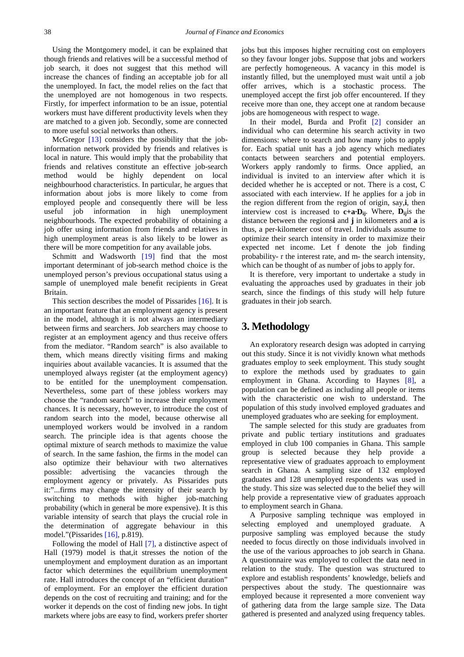Using the Montgomery model, it can be explained that though friends and relatives will be a successful method of job search, it does not suggest that this method will increase the chances of finding an acceptable job for all the unemployed. In fact, the model relies on the fact that the unemployed are not homogenous in two respects. Firstly, for imperfect information to be an issue, potential workers must have different productivity levels when they are matched to a given job. Secondly, some are connected to more useful social networks than others.

McGregor [\[13\]](#page-7-15) considers the possibility that the jobinformation network provided by friends and relatives is local in nature. This would imply that the probability that friends and relatives constitute an effective job-search method would be highly dependent on local neighbourhood characteristics. In particular, he argues that information about jobs is more likely to come from employed people and consequently there will be less useful job information in high unemployment neighbourhoods. The expected probability of obtaining a job offer using information from friends and relatives in high unemployment areas is also likely to be lower as there will be more competition for any available jobs.

Schmitt and Wadsworth [\[19\]](#page-7-16) find that the most important determinant of job-search method choice is the unemployed person's previous occupational status using a sample of unemployed male benefit recipients in Great Britain.

This section describes the model of Pissarides [\[16\].](#page-7-17) It is an important feature that an employment agency is present in the model, although it is not always an intermediary between firms and searchers. Job searchers may choose to register at an employment agency and thus receive offers from the mediator. "Random search" is also available to them, which means directly visiting firms and making inquiries about available vacancies. It is assumed that the unemployed always register (at the employment agency) to be entitled for the unemployment compensation. Nevertheless, some part of these jobless workers may choose the "random search" to increase their employment chances. It is necessary, however, to introduce the cost of random search into the model, because otherwise all unemployed workers would be involved in a random search. The principle idea is that agents choose the optimal mixture of search methods to maximize the value of search. In the same fashion, the firms in the model can also optimize their behaviour with two alternatives possible: advertising the vacancies through the employment agency or privately. As Pissarides puts it:"...firms may change the intensity of their search by switching to methods with higher job-matching probability (which in general be more expensive). It is this variable intensity of search that plays the crucial role in the determination of aggregate behaviour in this model."(Pissarides [\[16\],](#page-7-17) p.819).

Following the model of Hall [\[7\],](#page-7-18) a distinctive aspect of Hall (1979) model is that,it stresses the notion of the unemployment and employment duration as an important factor which determines the equilibrium unemployment rate. Hall introduces the concept of an "efficient duration" of employment. For an employer the efficient duration depends on the cost of recruiting and training; and for the worker it depends on the cost of finding new jobs. In tight markets where jobs are easy to find, workers prefer shorter

jobs but this imposes higher recruiting cost on employers so they favour longer jobs. Suppose that jobs and workers are perfectly homogeneous. A vacancy in this model is instantly filled, but the unemployed must wait until a job offer arrives, which is a stochastic process. The unemployed accept the first job offer encountered. If they receive more than one, they accept one at random because jobs are homogeneous with respect to wage.

In their model, Burda and Profit [\[2\]](#page-7-19) consider an individual who can determine his search activity in two dimensions: where to search and how many jobs to apply for. Each spatial unit has a job agency which mediates contacts between searchers and potential employers. Workers apply randomly to firms. Once applied, an individual is invited to an interview after which it is decided whether he is accepted or not. There is a cost, C associated with each interview. If he applies for a job in the region different from the region of origin, say,**i**, then interview cost is increased to  $c+a\cdot D_{ii}$ . Where,  $D_{ii}$  is the distance between the regions**i** and **j** in kilometers and **a** is thus, a per-kilometer cost of travel. Individuals assume to optimize their search intensity in order to maximize their expected net income. Let f denote the job finding probability- r the interest rate, and m- the search intensity, which can be thought of as number of jobs to apply for.

It is therefore, very important to undertake a study in evaluating the approaches used by graduates in their job search, since the findings of this study will help future graduates in their job search.

# **3. Methodology**

An exploratory research design was adopted in carrying out this study. Since it is not vividly known what methods graduates employ to seek employment. This study sought to explore the methods used by graduates to gain employment in Ghana. According to Haynes [\[8\],](#page-7-20) a population can be defined as including all people or items with the characteristic one wish to understand. The population of this study involved employed graduates and unemployed graduates who are seeking for employment.

The sample selected for this study are graduates from private and public tertiary institutions and graduates employed in club 100 companies in Ghana. This sample group is selected because they help provide a representative view of graduates approach to employment search in Ghana. A sampling size of 132 employed graduates and 128 unemployed respondents was used in the study. This size was selected due to the belief they will help provide a representative view of graduates approach to employment search in Ghana.

A Purposive sampling technique was employed in selecting employed and unemployed graduate. A purposive sampling was employed because the study needed to focus directly on those individuals involved in the use of the various approaches to job search in Ghana. A questionnaire was employed to collect the data need in relation to the study. The question was structured to explore and establish respondents' knowledge, beliefs and perspectives about the study. The questionnaire was employed because it represented a more convenient way of gathering data from the large sample size. The Data gathered is presented and analyzed using frequency tables.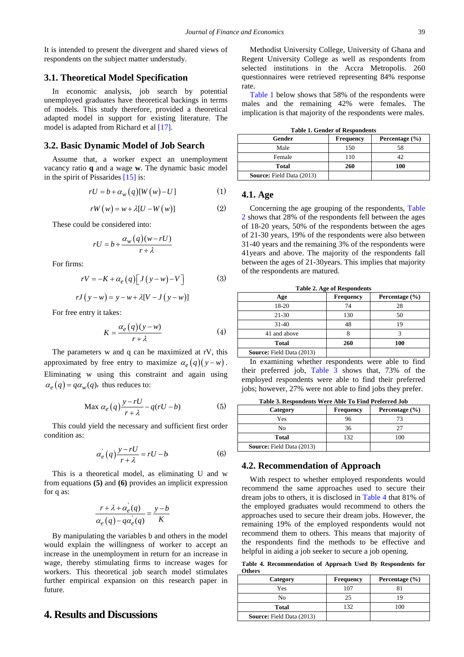It is intended to present the divergent and shared views of respondents on the subject matter understudy.

#### **3.1. Theoretical Model Specification**

In economic analysis, job search by potential unemployed graduates have theoretical backings in terms of models. This study therefore, provided a theoretical adapted model in support for existing literature. The model is adapted from Richard et al [\[17\].](#page-7-21)

#### **3.2. Basic Dynamic Model of Job Search**

Assume that, a worker expect an unemployment vacancy ratio **q** and a wage **w**. The dynamic basic model in the spirit of Pissarides [\[15\]](#page-7-22) is:

$$
rU = b + \alpha_w(q)[W(w) - U] \tag{1}
$$

$$
rW(w) = w + \lambda [U - W(w)] \tag{2}
$$

These could be considered into:

$$
rU = b + \frac{\alpha_w(q)(w - rU)}{r + \lambda}
$$

For firms:

$$
rV = -K + \alpha_e(q) \left[ J(y - w) - V \right]
$$
 (3)

$$
rJ(y-w) = y - w + \lambda[V - J(y-w)]
$$

For free entry it takes:

$$
K = \frac{\alpha_e(q)(y - w)}{r + \lambda} \tag{4}
$$

The parameters w and q can be maximized at rV, this approximated by free entry to maximize  $\alpha_e(q)(y-w)$ . Eliminating w using this constraint and again using  $\alpha_e(q) = q\alpha_w(q)$ , thus reduces to:

$$
\text{Max } \alpha_e(q) \frac{y - rU}{r + \lambda} - q(rU - b) \tag{5}
$$

This could yield the necessary and sufficient first order condition as:

$$
\alpha'_e(q)\frac{y-rU}{r+\lambda} = rU - b \tag{6}
$$

This is a theoretical model, as eliminating U and w from equations **(5)** and **(6)** provides an implicit expression for q as:

$$
\frac{r + \lambda + \alpha_e'(q)}{\alpha_e(q) - q\alpha_e'(q)} = \frac{y - b}{K}
$$

By manipulating the variables b and others in the model would explain the willingness of worker to accept an increase in the unemployment in return for an increase in wage, thereby stimulating firms to increase wages for workers. This theoretical job search model stimulates further empirical expansion on this research paper in future.

# **4. Results and Discussions**

Methodist University College, University of Ghana and Regent University College as well as respondents from selected institutions in the Accra Metropolis. 260 questionnaires were retrieved representing 84% response rate.

[Table 1](#page-3-0) below shows that 58% of the respondents were males and the remaining 42% were females. The implication is that majority of the respondents were males.

**Table 1. Gender of Respondents**

<span id="page-3-0"></span>

| Gender                           | <b>Frequency</b> | Percentage $(\% )$ |  |  |  |
|----------------------------------|------------------|--------------------|--|--|--|
| Male                             | 150              |                    |  |  |  |
| Female                           | 110              |                    |  |  |  |
| <b>Total</b>                     | 260              | 100                |  |  |  |
| <b>Source:</b> Field Data (2013) |                  |                    |  |  |  |

#### **4.1. Age**

Concerning the age grouping of the respondents, [Table](#page-3-1)  [2](#page-3-1) shows that 28% of the respondents fell between the ages of 18-20 years, 50% of the respondents between the ages of 21-30 years, 19% of the respondents were also between 31-40 years and the remaining 3% of the respondents were 41years and above. The majority of the respondents fall between the ages of 21-30years. This implies that majority of the respondents are matured.

<span id="page-3-1"></span>

| Table 2. Age of Respondents      |                  |                    |  |  |  |  |
|----------------------------------|------------------|--------------------|--|--|--|--|
| Age                              | <b>Frequency</b> | Percentage $(\% )$ |  |  |  |  |
| 18-20                            | 74               | 28                 |  |  |  |  |
| $21-30$                          | 130              | 50                 |  |  |  |  |
| $31-40$                          | 48               | 19                 |  |  |  |  |
| 41 and above                     |                  |                    |  |  |  |  |
| <b>Total</b>                     | 260              | 100                |  |  |  |  |
| <b>Source:</b> Field Data (2013) |                  |                    |  |  |  |  |

**Table 2. Age of Respondents**

In examining whether respondents were able to find their preferred job, [Table 3](#page-3-2) shows that, 73% of the employed respondents were able to find their preferred jobs; however, 27% were not able to find jobs they prefer.

**Table 3. Respondents Were Able To Find Preferred Job**

<span id="page-3-2"></span>

| Category                         | <b>Frequency</b> | Percentage $(\% )$ |
|----------------------------------|------------------|--------------------|
| Yes                              | 96               |                    |
| No                               | 36               |                    |
| <b>Total</b>                     | 132              | ١OC                |
| <b>Source:</b> Field Data (2013) |                  |                    |

#### **4.2. Recommendation of Approach**

With respect to whether employed respondents would recommend the same approaches used to secure their dream jobs to others, it is disclosed in [Table 4](#page-3-3) that 81% of the employed graduates would recommend to others the approaches used to secure their dream jobs. However, the remaining 19% of the employed respondents would not recommend them to others. This means that majority of the respondents find the methods to be effective and helpful in aiding a job seeker to secure a job opening.

**Table 4. Recommendation of Approach Used By Respondents for Others**

<span id="page-3-3"></span>

| Category                         | <b>Frequency</b> | Percentage $(\% )$ |
|----------------------------------|------------------|--------------------|
| Yes                              | 107              |                    |
| No                               | 25               |                    |
| Total                            | 132              | 100                |
| <b>Source:</b> Field Data (2013) |                  |                    |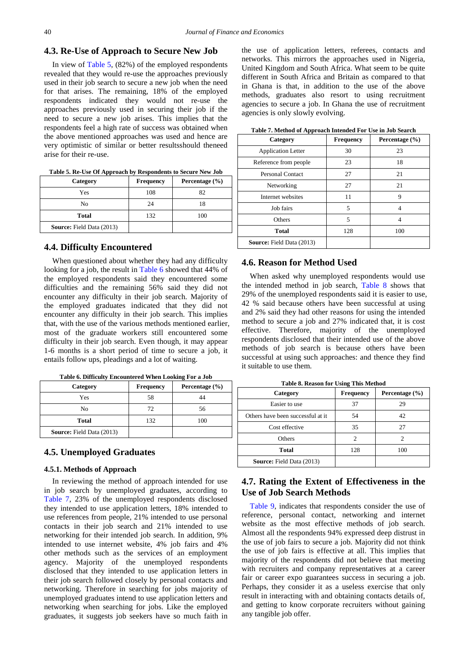#### **4.3. Re-Use of Approach to Secure New Job**

In view of [Table 5,](#page-4-0) (82%) of the employed respondents revealed that they would re-use the approaches previously used in their job search to secure a new job when the need for that arises. The remaining, 18% of the employed respondents indicated they would not re-use the approaches previously used in securing their job if the need to secure a new job arises. This implies that the respondents feel a high rate of success was obtained when the above mentioned approaches was used and hence are very optimistic of similar or better resultsshould theneed arise for their re-use.

<span id="page-4-0"></span>

| Tubic of the CSC Of Hipprough by Incopolating to Decure Field 600 |                  |                    |  |  |
|-------------------------------------------------------------------|------------------|--------------------|--|--|
| Category                                                          | <b>Frequency</b> | Percentage $(\% )$ |  |  |
| Yes                                                               | 108              | 82                 |  |  |
| No                                                                | 24               | 18                 |  |  |
| Total                                                             | 132              | 100                |  |  |
| <b>Source:</b> Field Data (2013)                                  |                  |                    |  |  |
|                                                                   |                  |                    |  |  |

**Table 5. Re-Use Of Approach by Respondents to Secure New Job**

#### **4.4. Difficulty Encountered**

When questioned about whether they had any difficulty looking for a job, the result in [Table 6](#page-4-1) showed that 44% of the employed respondents said they encountered some difficulties and the remaining 56% said they did not encounter any difficulty in their job search. Majority of the employed graduates indicated that they did not encounter any difficulty in their job search. This implies that, with the use of the various methods mentioned earlier, most of the graduate workers still encountered some difficulty in their job search. Even though, it may appear 1-6 months is a short period of time to secure a job, it entails follow ups, pleadings and a lot of waiting.

<span id="page-4-1"></span>

| Category                         | <b>Frequency</b> | Percentage $(\% )$ |
|----------------------------------|------------------|--------------------|
| Yes                              | 58               |                    |
| No                               | 72               | 56                 |
| <b>Total</b>                     | 132              | 100                |
| <b>Source:</b> Field Data (2013) |                  |                    |

#### **4.5. Unemployed Graduates**

#### **4.5.1. Methods of Approach**

In reviewing the method of approach intended for use in job search by unemployed graduates, according to [Table 7,](#page-4-2) 23% of the unemployed respondents disclosed they intended to use application letters, 18% intended to use references from people, 21% intended to use personal contacts in their job search and 21% intended to use networking for their intended job search. In addition, 9% intended to use internet website, 4% job fairs and 4% other methods such as the services of an employment agency. Majority of the unemployed respondents disclosed that they intended to use application letters in their job search followed closely by personal contacts and networking. Therefore in searching for jobs majority of unemployed graduates intend to use application letters and networking when searching for jobs. Like the employed graduates, it suggests job seekers have so much faith in the use of application letters, referees, contacts and networks. This mirrors the approaches used in Nigeria, United Kingdom and South Africa. What seem to be quite different in South Africa and Britain as compared to that in Ghana is that, in addition to the use of the above methods, graduates also resort to using recruitment agencies to secure a job. In Ghana the use of recruitment agencies is only slowly evolving.

<span id="page-4-2"></span>

| Category                         | <b>Frequency</b> | Percentage $(\% )$ |
|----------------------------------|------------------|--------------------|
| <b>Application Letter</b>        | 30               | 23                 |
| Reference from people            | 23               | 18                 |
| <b>Personal Contact</b>          | 27               | 21                 |
| Networking                       | 27               | 21                 |
| Internet websites                | 11               | 9                  |
| Job fairs                        | 5                | 4                  |
| Others                           | 5                | 4                  |
| <b>Total</b>                     | 128              | 100                |
| <b>Source:</b> Field Data (2013) |                  |                    |

**Table 7. Method of Approach Intended For Use in Job Search**

#### **4.6. Reason for Method Used**

When asked why unemployed respondents would use the intended method in job search, [Table 8](#page-4-3) shows that 29% of the unemployed respondents said it is easier to use, 42 % said because others have been successful at using and 2% said they had other reasons for using the intended method to secure a job and 27% indicated that, it is cost effective. Therefore, majority of the unemployed respondents disclosed that their intended use of the above methods of job search is because others have been successful at using such approaches: and thence they find it suitable to use them.

**Table 8. Reason for Using This Method**

<span id="page-4-3"></span>

| Category                          | <b>Frequency</b> | Percentage $(\% )$ |
|-----------------------------------|------------------|--------------------|
| Easier to use                     | 37               | 29                 |
| Others have been successful at it | 54               | 42                 |
| Cost effective                    | 35               | 27                 |
| Others                            |                  |                    |
| Total                             | 128              | 100                |
| <b>Source:</b> Field Data (2013)  |                  |                    |

## **4.7. Rating the Extent of Effectiveness in the Use of Job Search Methods**

[Table 9,](#page-5-0) indicates that respondents consider the use of reference, personal contact, networking and internet website as the most effective methods of job search. Almost all the respondents 94% expressed deep distrust in the use of job fairs to secure a job. Majority did not think the use of job fairs is effective at all. This implies that majority of the respondents did not believe that meeting with recruiters and company representatives at a career fair or career expo guarantees success in securing a job. Perhaps, they consider it as a useless exercise that only result in interacting with and obtaining contacts details of, and getting to know corporate recruiters without gaining any tangible job offer.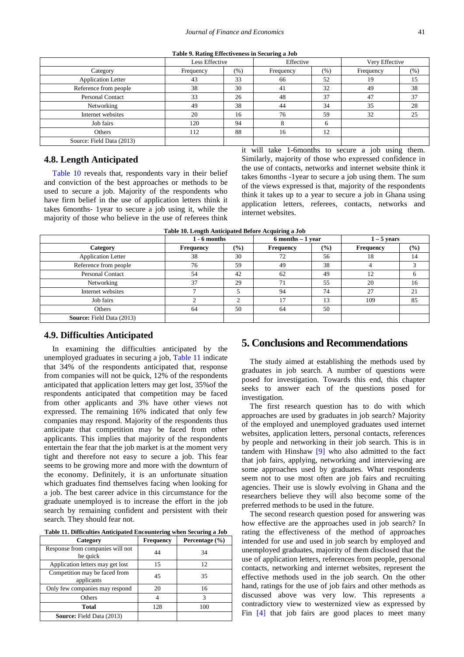|  | Table 9. Rating Effectiveness in Securing a Job |  |  |
|--|-------------------------------------------------|--|--|
|--|-------------------------------------------------|--|--|

<span id="page-5-0"></span>

|                           | Less Effective |        | Effective |      | Very Effective |      |
|---------------------------|----------------|--------|-----------|------|----------------|------|
| Category                  | Frequency      | $(\%)$ | Frequency | (% ) | Frequency      | (% ) |
| <b>Application Letter</b> | 43             | 33     | 66        | 52   | 19             | 15   |
| Reference from people     | 38             | 30     | 41        | 32   | 49             | 38   |
| <b>Personal Contact</b>   | 33             | 26     | 48        | 37   | 47             | 37   |
| Networking                | 49             | 38     | 44        | 34   | 35             | 28   |
| Internet websites         | 20             | 16     | 76        | 59   | 32             | 25   |
| Job fairs                 | 120            | 94     | Ω         | 6    |                |      |
| Others                    | 112            | 88     | 16        | 12   |                |      |
| Source: Field Data (2013) |                |        |           |      |                |      |

#### **4.8. Length Anticipated**

[Table 10](#page-5-1) reveals that, respondents vary in their belief and conviction of the best approaches or methods to be used to secure a job. Majority of the respondents who have firm belief in the use of application letters think it takes 6months- 1year to secure a job using it, while the majority of those who believe in the use of referees think it will take 1-6months to secure a job using them. Similarly, majority of those who expressed confidence in the use of contacts, networks and internet website think it takes 6months -1year to secure a job using them. The sum of the views expressed is that, majority of the respondents think it takes up to a year to secure a job in Ghana using application letters, referees, contacts, networks and internet websites.

<span id="page-5-1"></span>

|                                  | $1 - 6$ months<br>$6$ months $-1$ year |        |                  | $1 - 5$ years |                  |        |
|----------------------------------|----------------------------------------|--------|------------------|---------------|------------------|--------|
| Category                         | <b>Frequency</b>                       | $(\%)$ | <b>Frequency</b> | $\frac{9}{6}$ | <b>Frequency</b> | $($ %) |
| <b>Application Letter</b>        | 38                                     | 30     | 72               | 56            | 18               | 14     |
| Reference from people            | 76                                     | 59     | 49               | 38            |                  |        |
| Personal Contact                 | 54                                     | 42     | 62               | 49            | 12               |        |
| Networking                       | 37                                     | 29     | 71               | 55            | 20               | 16     |
| Internet websites                |                                        |        | 94               | 74            | 27               | 21     |
| Job fairs                        |                                        | ⌒      | 17               | 13            | 109              | 85     |
| Others                           | 64                                     | 50     | 64               | 50            |                  |        |
| <b>Source:</b> Field Data (2013) |                                        |        |                  |               |                  |        |

| Table 10. Length Anticipated Before Acquiring a Job |
|-----------------------------------------------------|
|-----------------------------------------------------|

#### **4.9. Difficulties Anticipated**

In examining the difficulties anticipated by the unemployed graduates in securing a job, [Table 11](#page-5-2) indicate that 34% of the respondents anticipated that, response from companies will not be quick, 12% of the respondents anticipated that application letters may get lost, 35%of the respondents anticipated that competition may be faced from other applicants and 3% have other views not expressed. The remaining 16% indicated that only few companies may respond. Majority of the respondents thus anticipate that competition may be faced from other applicants. This implies that majority of the respondents entertain the fear that the job market is at the moment very tight and therefore not easy to secure a job. This fear seems to be growing more and more with the downturn of the economy. Definitely, it is an unfortunate situation which graduates find themselves facing when looking for a job. The best career advice in this circumstance for the graduate unemployed is to increase the effort in the job search by remaining confident and persistent with their search. They should fear not.

**Table 11. Difficulties Anticipated Encountering when Securing a Job**

<span id="page-5-2"></span>

| Category                                     | <b>Frequency</b> | Percentage $(\% )$ |
|----------------------------------------------|------------------|--------------------|
| Response from companies will not<br>be quick | 44               | 34                 |
| Application letters may get lost             | 15               | 12                 |
| Competition may be faced from<br>applicants  | 45               | 35                 |
| Only few companies may respond               | 20               | 16                 |
| Others                                       |                  | 3                  |
| <b>Total</b>                                 | 128              | 100                |
| <b>Source:</b> Field Data (2013)             |                  |                    |

# **5. Conclusions and Recommendations**

The study aimed at establishing the methods used by graduates in job search. A number of questions were posed for investigation. Towards this end, this chapter seeks to answer each of the questions posed for investigation.

The first research question has to do with which approaches are used by graduates in job search? Majority of the employed and unemployed graduates used internet websites, application letters, personal contacts, references by people and networking in their job search. This is in tandem with Hinshaw [\[9\]](#page-7-11) who also admitted to the fact that job fairs, applying, networking and interviewing are some approaches used by graduates. What respondents seem not to use most often are job fairs and recruiting agencies. Their use is slowly evolving in Ghana and the researchers believe they will also become some of the preferred methods to be used in the future.

The second research question posed for answering was how effective are the approaches used in job search? In rating the effectiveness of the method of approaches intended for use and used in job search by employed and unemployed graduates, majority of them disclosed that the use of application letters, references from people, personal contacts, networking and internet websites, represent the effective methods used in the job search. On the other hand, ratings for the use of job fairs and other methods as discussed above was very low. This represents a contradictory view to westernized view as expressed by Fin [\[4\]](#page-7-3) that job fairs are good places to meet many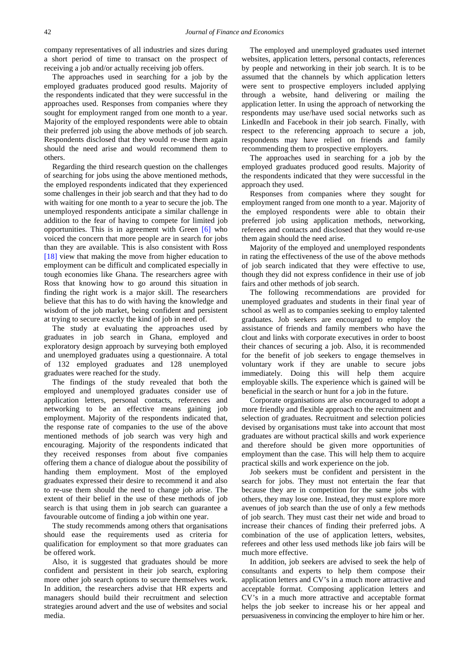company representatives of all industries and sizes during a short period of time to transact on the prospect of receiving a job and/or actually receiving job offers.

The approaches used in searching for a job by the employed graduates produced good results. Majority of the respondents indicated that they were successful in the approaches used. Responses from companies where they sought for employment ranged from one month to a year. Majority of the employed respondents were able to obtain their preferred job using the above methods of job search. Respondents disclosed that they would re-use them again should the need arise and would recommend them to others.

Regarding the third research question on the challenges of searching for jobs using the above mentioned methods, the employed respondents indicated that they experienced some challenges in their job search and that they had to do with waiting for one month to a year to secure the job. The unemployed respondents anticipate a similar challenge in addition to the fear of having to compete for limited job opportunities. This is in agreement with Green [\[6\]](#page-7-23) who voiced the concern that more people are in search for jobs than they are available. This is also consistent with Ross [\[18\]](#page-7-24) view that making the move from higher education to employment can be difficult and complicated especially in tough economies like Ghana. The researchers agree with Ross that knowing how to go around this situation in finding the right work is a major skill. The researchers believe that this has to do with having the knowledge and wisdom of the job market, being confident and persistent at trying to secure exactly the kind of job in need of.

The study at evaluating the approaches used by graduates in job search in Ghana, employed and exploratory design approach by surveying both employed and unemployed graduates using a questionnaire. A total of 132 employed graduates and 128 unemployed graduates were reached for the study.

The findings of the study revealed that both the employed and unemployed graduates consider use of application letters, personal contacts, references and networking to be an effective means gaining job employment. Majority of the respondents indicated that, the response rate of companies to the use of the above mentioned methods of job search was very high and encouraging. Majority of the respondents indicated that they received responses from about five companies offering them a chance of dialogue about the possibility of handing them employment. Most of the employed graduates expressed their desire to recommend it and also to re-use them should the need to change job arise. The extent of their belief in the use of these methods of job search is that using them in job search can guarantee a favourable outcome of finding a job within one year.

The study recommends among others that organisations should ease the requirements used as criteria for qualification for employment so that more graduates can be offered work.

Also, it is suggested that graduates should be more confident and persistent in their job search, exploring more other job search options to secure themselves work. In addition, the researchers advise that HR experts and managers should build their recruitment and selection strategies around advert and the use of websites and social media.

The employed and unemployed graduates used internet websites, application letters, personal contacts, references by people and networking in their job search. It is to be assumed that the channels by which application letters were sent to prospective employers included applying through a website, hand delivering or mailing the application letter. In using the approach of networking the respondents may use/have used social networks such as LinkedIn and Facebook in their job search. Finally, with respect to the referencing approach to secure a job, respondents may have relied on friends and family recommending them to prospective employers.

The approaches used in searching for a job by the employed graduates produced good results. Majority of the respondents indicated that they were successful in the approach they used.

Responses from companies where they sought for employment ranged from one month to a year. Majority of the employed respondents were able to obtain their preferred job using application methods, networking, referees and contacts and disclosed that they would re-use them again should the need arise.

Majority of the employed and unemployed respondents in rating the effectiveness of the use of the above methods of job search indicated that they were effective to use, though they did not express confidence in their use of job fairs and other methods of job search.

The following recommendations are provided for unemployed graduates and students in their final year of school as well as to companies seeking to employ talented graduates. Job seekers are encouraged to employ the assistance of friends and family members who have the clout and links with corporate executives in order to boost their chances of securing a job. Also, it is recommended for the benefit of job seekers to engage themselves in voluntary work if they are unable to secure jobs immediately. Doing this will help them acquire employable skills. The experience which is gained will be beneficial in the search or hunt for a job in the future.

Corporate organisations are also encouraged to adopt a more friendly and flexible approach to the recruitment and selection of graduates. Recruitment and selection policies devised by organisations must take into account that most graduates are without practical skills and work experience and therefore should be given more opportunities of employment than the case. This will help them to acquire practical skills and work experience on the job.

Job seekers must be confident and persistent in the search for jobs. They must not entertain the fear that because they are in competition for the same jobs with others, they may lose one. Instead, they must explore more avenues of job search than the use of only a few methods of job search. They must cast their net wide and broad to increase their chances of finding their preferred jobs. A combination of the use of application letters, websites, referees and other less used methods like job fairs will be much more effective.

In addition, job seekers are advised to seek the help of consultants and experts to help them compose their application letters and CV's in a much more attractive and acceptable format. Composing application letters and CV's in a much more attractive and acceptable format helps the job seeker to increase his or her appeal and persuasiveness in convincing the employer to hire him or her.